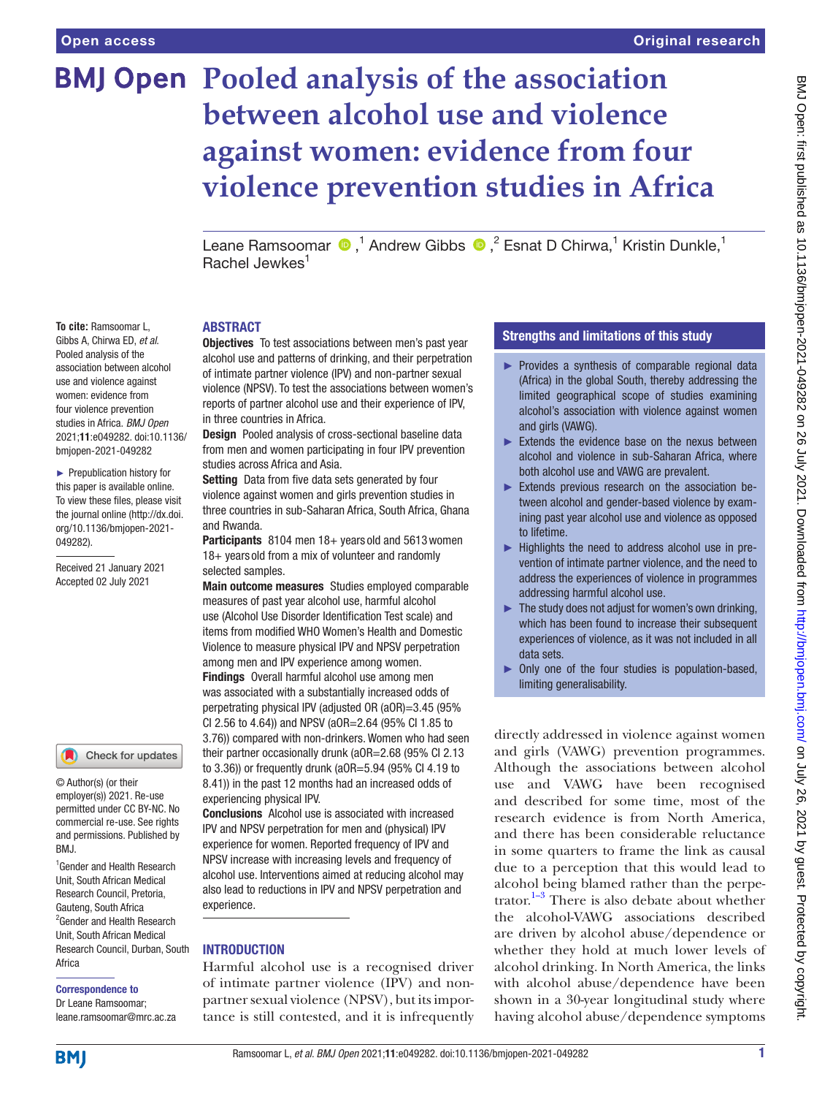# **BMJ Open Pooled analysis of the association between alcohol use and violence against women: evidence from four violence prevention studies in Africa**

LeaneRamsoomar  $\bigcirc$ ,<sup>1</sup> Andrew Gibbs  $\bigcirc$ ,<sup>2</sup> Esnat D Chirwa,<sup>1</sup> Kristin Dunkle,<sup>1</sup> Rachel Jewkes<sup>1</sup>

## **ABSTRACT**

Objectives To test associations between men's past year alcohol use and patterns of drinking, and their perpetration of intimate partner violence (IPV) and non-partner sexual violence (NPSV). To test the associations between women's reports of partner alcohol use and their experience of IPV, in three countries in Africa.

Design Pooled analysis of cross-sectional baseline data from men and women participating in four IPV prevention studies across Africa and Asia.

Setting Data from five data sets generated by four violence against women and girls prevention studies in three countries in sub-Saharan Africa, South Africa, Ghana and Rwanda.

Participants 8104 men 18+ years old and 5613 women 18+ years old from a mix of volunteer and randomly selected samples.

Main outcome measures Studies employed comparable measures of past year alcohol use, harmful alcohol use (Alcohol Use Disorder Identification Test scale) and items from modified WHO Women's Health and Domestic Violence to measure physical IPV and NPSV perpetration among men and IPV experience among women. Findings Overall harmful alcohol use among men was associated with a substantially increased odds of perpetrating physical IPV (adjusted OR (aOR)=3.45 (95% CI 2.56 to 4.64)) and NPSV (aOR=2.64 (95% CI 1.85 to 3.76)) compared with non-drinkers. Women who had seen their partner occasionally drunk (aOR=2.68 (95% CI 2.13 to 3.36)) or frequently drunk (aOR=5.94 (95% CI 4.19 to 8.41)) in the past 12 months had an increased odds of experiencing physical IPV.

Conclusions Alcohol use is associated with increased IPV and NPSV perpetration for men and (physical) IPV experience for women. Reported frequency of IPV and NPSV increase with increasing levels and frequency of alcohol use. Interventions aimed at reducing alcohol may also lead to reductions in IPV and NPSV perpetration and experience.

### INTRODUCTION

Harmful alcohol use is a recognised driver of intimate partner violence (IPV) and nonpartner sexual violence (NPSV), but its importance is still contested, and it is infrequently

### Strengths and limitations of this study

- ► Provides a synthesis of comparable regional data (Africa) in the global South, thereby addressing the limited geographical scope of studies examining alcohol's association with violence against women and girls (VAWG).
- ► Extends the evidence base on the nexus between alcohol and violence in sub-Saharan Africa, where both alcohol use and VAWG are prevalent.
- ► Extends previous research on the association between alcohol and gender-based violence by examining past year alcohol use and violence as opposed to lifetime.
- ► Highlights the need to address alcohol use in prevention of intimate partner violence, and the need to address the experiences of violence in programmes addressing harmful alcohol use.
- $\blacktriangleright$  The study does not adjust for women's own drinking, which has been found to increase their subsequent experiences of violence, as it was not included in all data sets.
- ► Only one of the four studies is population-based, limiting generalisability.

directly addressed in violence against women and girls (VAWG) prevention programmes. Although the associations between alcohol use and VAWG have been recognised and described for some time, most of the research evidence is from North America, and there has been considerable reluctance in some quarters to frame the link as causal due to a perception that this would lead to alcohol being blamed rather than the perpetrator. $1-3$  There is also debate about whether the alcohol-VAWG associations described are driven by alcohol abuse/dependence or whether they hold at much lower levels of alcohol drinking. In North America, the links with alcohol abuse/dependence have been shown in a 30-year longitudinal study where having alcohol abuse/dependence symptoms

**To cite:** Ramsoomar L, Gibbs A, Chirwa ED, *et al*. Pooled analysis of the association between alcohol use and violence against women: evidence from four violence prevention studies in Africa. *BMJ Open* 2021;11:e049282. doi:10.1136/ bmjopen-2021-049282

► Prepublication history for this paper is available online. To view these files, please visit the journal online (http://dx.doi. org/10.1136/bmjopen-2021- 049282).

Received 21 January 2021 Accepted 02 July 2021



© Author(s) (or their employer(s)) 2021. Re-use permitted under CC BY-NC. No commercial re-use. See rights and permissions. Published by BMJ.

1 Gender and Health Research Unit, South African Medical Research Council, Pretoria, Gauteng, South Africa <sup>2</sup> Gender and Health Research Unit, South African Medical Research Council, Durban, South Africa

#### Correspondence to

Dr Leane Ramsoomar; leane.ramsoomar@mrc.ac.za

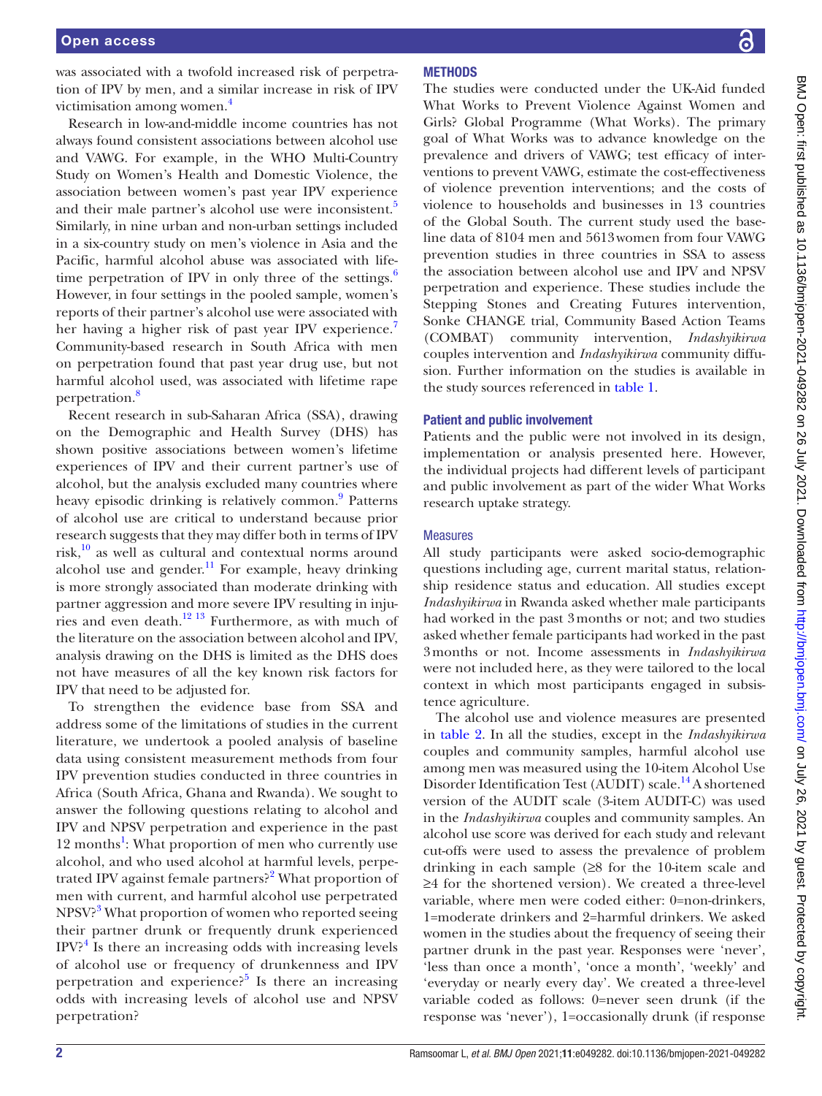was associated with a twofold increased risk of perpetration of IPV by men, and a similar increase in risk of IPV victimisation among women[.4](#page-9-1)

Research in low-and-middle income countries has not always found consistent associations between alcohol use and VAWG. For example, in the WHO Multi-Country Study on Women's Health and Domestic Violence, the association between women's past year IPV experience and their male partner's alcohol use were inconsistent.<sup>[5](#page-10-0)</sup> Similarly, in nine urban and non-urban settings included in a six-country study on men's violence in Asia and the Pacific, harmful alcohol abuse was associated with life-time perpetration of IPV in only three of the settings.<sup>[6](#page-10-1)</sup> However, in four settings in the pooled sample, women's reports of their partner's alcohol use were associated with her having a higher risk of past year IPV experience.<sup>[7](#page-10-2)</sup> Community-based research in South Africa with men on perpetration found that past year drug use, but not harmful alcohol used, was associated with lifetime rape perpetration.<sup>[8](#page-10-3)</sup>

Recent research in sub-Saharan Africa (SSA), drawing on the Demographic and Health Survey (DHS) has shown positive associations between women's lifetime experiences of IPV and their current partner's use of alcohol, but the analysis excluded many countries where heavy episodic drinking is relatively common.<sup>9</sup> Patterns of alcohol use are critical to understand because prior research suggests that they may differ both in terms of IPV risk, $10$  as well as cultural and contextual norms around alcohol use and gender. $11$  For example, heavy drinking is more strongly associated than moderate drinking with partner aggression and more severe IPV resulting in injuries and even death.<sup>12 13</sup> Furthermore, as with much of the literature on the association between alcohol and IPV, analysis drawing on the DHS is limited as the DHS does not have measures of all the key known risk factors for IPV that need to be adjusted for.

To strengthen the evidence base from SSA and address some of the limitations of studies in the current literature, we undertook a pooled analysis of baseline data using consistent measurement methods from four IPV prevention studies conducted in three countries in Africa (South Africa, Ghana and Rwanda). We sought to answer the following questions relating to alcohol and IPV and NPSV perpetration and experience in the past [1](#page-9-0)2 months<sup>1</sup>: What proportion of men who currently use alcohol, and who used alcohol at harmful levels, perpe-trated IPV against female partners?<sup>[2](#page-9-2)</sup> What proportion of men with current, and harmful alcohol use perpetrated NPSV?<sup>[3](#page-9-3)</sup> What proportion of women who reported seeing their partner drunk or frequently drunk experienced  $IPV?$ <sup>[4](#page-9-1)</sup> Is there an increasing odds with increasing levels of alcohol use or frequency of drunkenness and IPV perpetration and experience?<sup>[5](#page-10-0)</sup> Is there an increasing odds with increasing levels of alcohol use and NPSV perpetration?

# **METHODS**

The studies were conducted under the UK-Aid funded What Works to Prevent Violence Against Women and Girls? Global Programme (What Works). The primary goal of What Works was to advance knowledge on the prevalence and drivers of VAWG; test efficacy of interventions to prevent VAWG, estimate the cost-effectiveness of violence prevention interventions; and the costs of violence to households and businesses in 13 countries of the Global South. The current study used the baseline data of 8104 men and 5613women from four VAWG prevention studies in three countries in SSA to assess the association between alcohol use and IPV and NPSV perpetration and experience. These studies include the Stepping Stones and Creating Futures intervention, Sonke CHANGE trial, Community Based Action Teams (COMBAT) community intervention, *Indashyikirwa* couples intervention and *Indashyikirwa* community diffusion. Further information on the studies is available in the study sources referenced in [table](#page-2-0) 1.

#### Patient and public involvement

Patients and the public were not involved in its design, implementation or analysis presented here. However, the individual projects had different levels of participant and public involvement as part of the wider What Works research uptake strategy.

#### **Measures**

All study participants were asked socio-demographic questions including age, current marital status, relationship residence status and education. All studies except *Indashyikirwa* in Rwanda asked whether male participants had worked in the past 3months or not; and two studies asked whether female participants had worked in the past 3months or not. Income assessments in *Indashyikirwa* were not included here, as they were tailored to the local context in which most participants engaged in subsistence agriculture.

The alcohol use and violence measures are presented in [table](#page-3-0) 2. In all the studies, except in the *Indashyikirwa* couples and community samples, harmful alcohol use among men was measured using the 10-item Alcohol Use Disorder Identification Test (AUDIT) scale.<sup>[14](#page-10-8)</sup> A shortened version of the AUDIT scale (3-item AUDIT-C) was used in the *Indashyikirwa* couples and community samples. An alcohol use score was derived for each study and relevant cut-offs were used to assess the prevalence of problem drinking in each sample (≥8 for the 10-item scale and ≥4 for the shortened version). We created a three-level variable, where men were coded either: 0=non-drinkers, 1=moderate drinkers and 2=harmful drinkers. We asked women in the studies about the frequency of seeing their partner drunk in the past year. Responses were 'never', 'less than once a month', 'once a month', 'weekly' and 'everyday or nearly every day'. We created a three-level variable coded as follows: 0=never seen drunk (if the response was 'never'), 1=occasionally drunk (if response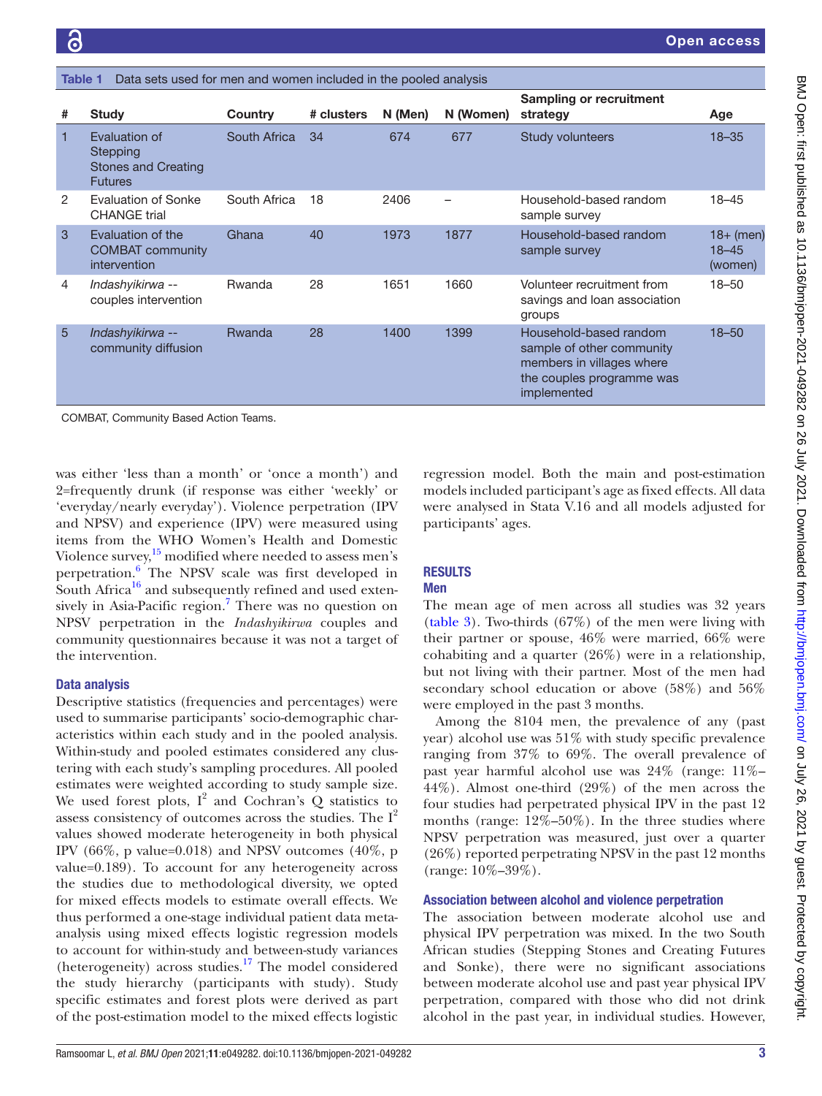<span id="page-2-0"></span>

| #              | <b>Study</b>                                                              | Country      | # clusters | N (Men) | N (Women) | <b>Sampling or recruitment</b><br>strategy                                                                                   | Age                                 |
|----------------|---------------------------------------------------------------------------|--------------|------------|---------|-----------|------------------------------------------------------------------------------------------------------------------------------|-------------------------------------|
| $\mathbf{1}$   | Evaluation of<br>Stepping<br><b>Stones and Creating</b><br><b>Futures</b> | South Africa | 34         | 674     | 677       | <b>Study volunteers</b>                                                                                                      | $18 - 35$                           |
| $\overline{2}$ | <b>Evaluation of Sonke</b><br><b>CHANGE trial</b>                         | South Africa | 18         | 2406    |           | Household-based random<br>sample survey                                                                                      | $18 - 45$                           |
| 3              | Evaluation of the<br><b>COMBAT</b> community<br>intervention              | Ghana        | 40         | 1973    | 1877      | Household-based random<br>sample survey                                                                                      | $18+$ (men)<br>$18 - 45$<br>(women) |
| 4              | Indashyikirwa --<br>couples intervention                                  | Rwanda       | 28         | 1651    | 1660      | Volunteer recruitment from<br>savings and loan association<br>groups                                                         | $18 - 50$                           |
| 5              | Indashyikirwa --<br>community diffusion                                   | Rwanda       | 28         | 1400    | 1399      | Household-based random<br>sample of other community<br>members in villages where<br>the couples programme was<br>implemented | $18 - 50$                           |
|                | COMBAT Community Based Action Teams                                       |              |            |         |           |                                                                                                                              |                                     |

Data sets used for men and women included in the pooled analysis

was either 'less than a month' or 'once a month') and 2=frequently drunk (if response was either 'weekly' or 'everyday/nearly everyday'). Violence perpetration (IPV and NPSV) and experience (IPV) were measured using items from the WHO Women's Health and Domestic Violence survey, $15 \mod 15$  $15 \mod 15$  modified where needed to assess men's perpetration.<sup>6</sup> The NPSV scale was first developed in South Africa $^{16}$  $^{16}$  $^{16}$  and subsequently refined and used extensively in Asia-Pacific region.<sup>7</sup> There was no question on NPSV perpetration in the *Indashyikirwa* couples and community questionnaires because it was not a target of the intervention. COMBAT, Community Based Action Teams.

# Data analysis

Descriptive statistics (frequencies and percentages) were used to summarise participants' socio-demographic characteristics within each study and in the pooled analysis. Within-study and pooled estimates considered any clustering with each study's sampling procedures. All pooled estimates were weighted according to study sample size. We used forest plots,  $I^2$  and Cochran's Q statistics to assess consistency of outcomes across the studies. The  $I^2$ values showed moderate heterogeneity in both physical IPV (66\%, p value=0.018) and NPSV outcomes (40\%, p value=0.189). To account for any heterogeneity across the studies due to methodological diversity, we opted for mixed effects models to estimate overall effects. We thus performed a one-stage individual patient data metaanalysis using mixed effects logistic regression models to account for within-study and between-study variances (heterogeneity) across studies[.17](#page-10-11) The model considered the study hierarchy (participants with study). Study specific estimates and forest plots were derived as part of the post-estimation model to the mixed effects logistic

regression model. Both the main and post-estimation models included participant's age as fixed effects. All data were analysed in Stata V.16 and all models adjusted for participants' ages.

# **RESULTS**

## Men

The mean age of men across all studies was 32 years [\(table](#page-4-0) 3). Two-thirds (67%) of the men were living with their partner or spouse, 46% were married, 66% were cohabiting and a quarter (26%) were in a relationship, but not living with their partner. Most of the men had secondary school education or above (58%) and 56% were employed in the past 3 months.

Among the 8104 men, the prevalence of any (past year) alcohol use was 51% with study specific prevalence ranging from 37% to 69%. The overall prevalence of past year harmful alcohol use was 24% (range: 11%– 44%). Almost one-third (29%) of the men across the four studies had perpetrated physical IPV in the past 12 months (range:  $12\% - 50\%$ ). In the three studies where NPSV perpetration was measured, just over a quarter (26%) reported perpetrating NPSV in the past 12 months (range: 10%–39%).

# Association between alcohol and violence perpetration

The association between moderate alcohol use and physical IPV perpetration was mixed. In the two South African studies (Stepping Stones and Creating Futures and Sonke), there were no significant associations between moderate alcohol use and past year physical IPV perpetration, compared with those who did not drink alcohol in the past year, in individual studies. However,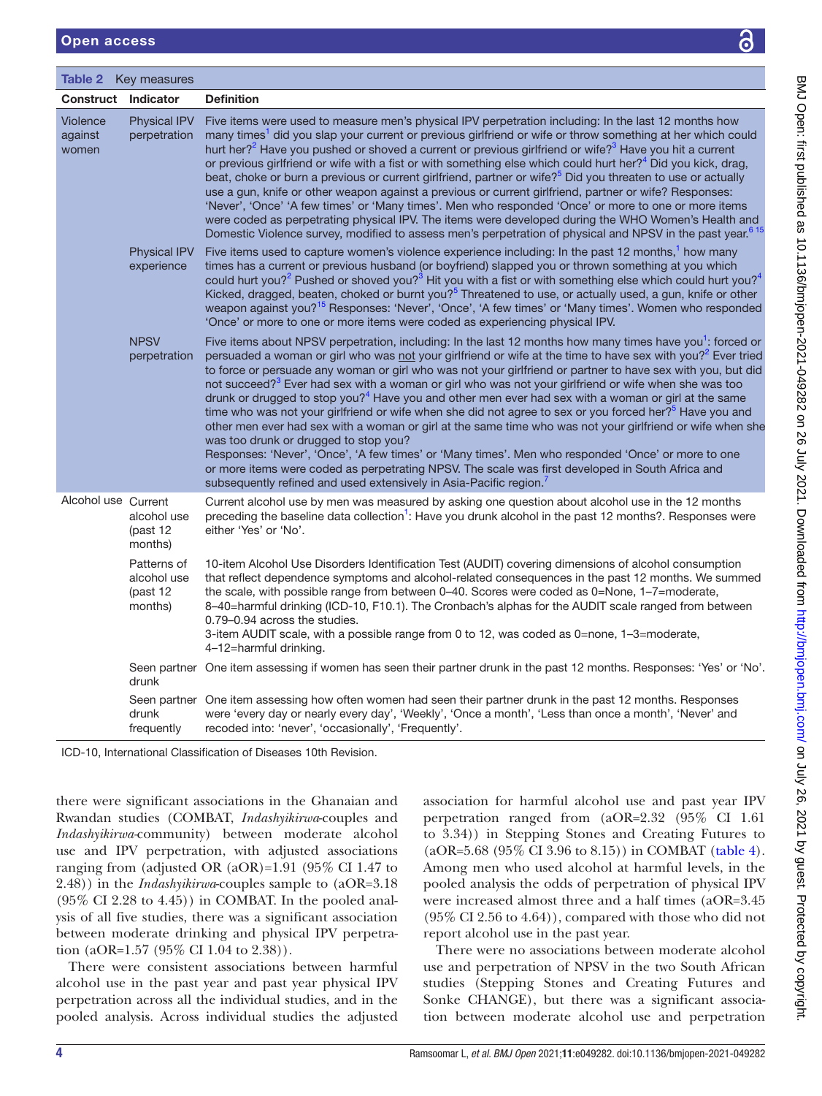<span id="page-3-0"></span>Table 2 Key measures

| <b>Construct Indicator</b>          |                                                   | <b>Definition</b>                                                                                                                                                                                                                                                                                                                                                                                                                                                                                                                                                                                                                                                                                                                                                                                                                                                                                                                                                                                                                                                                                                                                                  |
|-------------------------------------|---------------------------------------------------|--------------------------------------------------------------------------------------------------------------------------------------------------------------------------------------------------------------------------------------------------------------------------------------------------------------------------------------------------------------------------------------------------------------------------------------------------------------------------------------------------------------------------------------------------------------------------------------------------------------------------------------------------------------------------------------------------------------------------------------------------------------------------------------------------------------------------------------------------------------------------------------------------------------------------------------------------------------------------------------------------------------------------------------------------------------------------------------------------------------------------------------------------------------------|
| <b>Violence</b><br>against<br>women | <b>Physical IPV</b><br>perpetration               | Five items were used to measure men's physical IPV perpetration including: In the last 12 months how<br>many times <sup>1</sup> did you slap your current or previous girlfriend or wife or throw something at her which could<br>hurt her? <sup>2</sup> Have you pushed or shoved a current or previous girlfriend or wife? <sup>3</sup> Have you hit a current<br>or previous girlfriend or wife with a fist or with something else which could hurt her? <sup>4</sup> Did you kick, drag,<br>beat, choke or burn a previous or current girlfriend, partner or wife? <sup>5</sup> Did you threaten to use or actually<br>use a gun, knife or other weapon against a previous or current girlfriend, partner or wife? Responses:<br>'Never', 'Once' 'A few times' or 'Many times'. Men who responded 'Once' or more to one or more items<br>were coded as perpetrating physical IPV. The items were developed during the WHO Women's Health and<br>Domestic Violence survey, modified to assess men's perpetration of physical and NPSV in the past year. <sup>615</sup>                                                                                          |
|                                     | <b>Physical IPV</b><br>experience                 | Five items used to capture women's violence experience including: In the past 12 months, <sup>1</sup> how many<br>times has a current or previous husband (or boyfriend) slapped you or thrown something at you which<br>could hurt you? <sup>2</sup> Pushed or shoved you? <sup>3</sup> Hit you with a fist or with something else which could hurt you? <sup>4</sup><br>Kicked, dragged, beaten, choked or burnt you? <sup>5</sup> Threatened to use, or actually used, a gun, knife or other<br>weapon against you? <sup>15</sup> Responses: 'Never', 'Once', 'A few times' or 'Many times'. Women who responded<br>'Once' or more to one or more items were coded as experiencing physical IPV.                                                                                                                                                                                                                                                                                                                                                                                                                                                                |
|                                     | <b>NPSV</b><br>perpetration                       | Five items about NPSV perpetration, including: In the last 12 months how many times have you <sup>1</sup> : forced or<br>persuaded a woman or girl who was not your girlfriend or wife at the time to have sex with you? <sup>2</sup> Ever tried<br>to force or persuade any woman or girl who was not your girlfriend or partner to have sex with you, but did<br>not succeed? <sup>3</sup> Ever had sex with a woman or girl who was not your girlfriend or wife when she was too<br>drunk or drugged to stop you? <sup>4</sup> Have you and other men ever had sex with a woman or girl at the same<br>time who was not your girlfriend or wife when she did not agree to sex or you forced her? <sup>5</sup> Have you and<br>other men ever had sex with a woman or girl at the same time who was not your girlfriend or wife when she<br>was too drunk or drugged to stop you?<br>Responses: 'Never', 'Once', 'A few times' or 'Many times'. Men who responded 'Once' or more to one<br>or more items were coded as perpetrating NPSV. The scale was first developed in South Africa and<br>subsequently refined and used extensively in Asia-Pacific region. |
| Alcohol use Current                 | alcohol use<br>(past 12<br>months)                | Current alcohol use by men was measured by asking one question about alcohol use in the 12 months<br>preceding the baseline data collection <sup>1</sup> : Have you drunk alcohol in the past 12 months?. Responses were<br>either 'Yes' or 'No'.                                                                                                                                                                                                                                                                                                                                                                                                                                                                                                                                                                                                                                                                                                                                                                                                                                                                                                                  |
|                                     | Patterns of<br>alcohol use<br>(past 12<br>months) | 10-item Alcohol Use Disorders Identification Test (AUDIT) covering dimensions of alcohol consumption<br>that reflect dependence symptoms and alcohol-related consequences in the past 12 months. We summed<br>the scale, with possible range from between 0-40. Scores were coded as 0=None, 1-7=moderate,<br>8–40=harmful drinking (ICD-10, F10.1). The Cronbach's alphas for the AUDIT scale ranged from between<br>0.79-0.94 across the studies.<br>3-item AUDIT scale, with a possible range from 0 to 12, was coded as 0=none, 1–3=moderate,<br>4-12=harmful drinking.                                                                                                                                                                                                                                                                                                                                                                                                                                                                                                                                                                                        |
|                                     | drunk                                             | Seen partner One item assessing if women has seen their partner drunk in the past 12 months. Responses: 'Yes' or 'No'.                                                                                                                                                                                                                                                                                                                                                                                                                                                                                                                                                                                                                                                                                                                                                                                                                                                                                                                                                                                                                                             |
|                                     | drunk<br>frequently                               | Seen partner One item assessing how often women had seen their partner drunk in the past 12 months. Responses<br>were 'every day or nearly every day', 'Weekly', 'Once a month', 'Less than once a month', 'Never' and<br>recoded into: 'never', 'occasionally', 'Frequently'.                                                                                                                                                                                                                                                                                                                                                                                                                                                                                                                                                                                                                                                                                                                                                                                                                                                                                     |

there were significant associations in the Ghanaian and Rwandan studies (COMBAT, *Indashyikirwa*-couples and *Indashyikirwa-*community) between moderate alcohol use and IPV perpetration, with adjusted associations ranging from (adjusted OR (aOR)=1.91 (95% CI 1.47 to 2.48)) in the *Indashyikirwa*-couples sample to (aOR=3.18  $(95\% \text{ CI } 2.28 \text{ to } 4.45))$  in COMBAT. In the pooled analysis of all five studies, there was a significant association between moderate drinking and physical IPV perpetration (aOR=1.57 (95% CI 1.04 to 2.38)).

There were consistent associations between harmful alcohol use in the past year and past year physical IPV perpetration across all the individual studies, and in the pooled analysis. Across individual studies the adjusted

association for harmful alcohol use and past year IPV perpetration ranged from (aOR=2.32 (95% CI 1.61 to 3.34)) in Stepping Stones and Creating Futures to (aOR=5.68 (95% CI 3.96 to 8.15)) in COMBAT ([table](#page-5-0) 4). Among men who used alcohol at harmful levels, in the pooled analysis the odds of perpetration of physical IPV were increased almost three and a half times (aOR=3.45 (95% CI 2.56 to 4.64)), compared with those who did not report alcohol use in the past year.

There were no associations between moderate alcohol use and perpetration of NPSV in the two South African studies (Stepping Stones and Creating Futures and Sonke CHANGE), but there was a significant association between moderate alcohol use and perpetration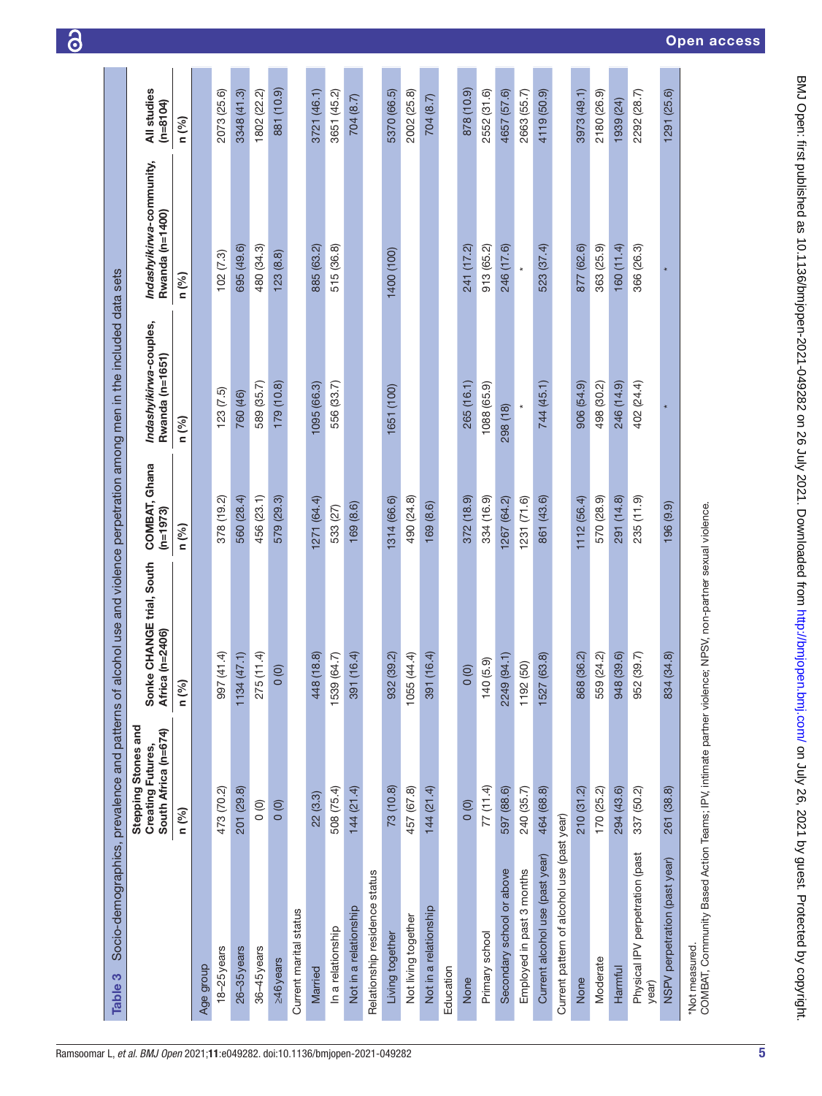<span id="page-4-0"></span>

| Table 3                                                                                                                    | Socio-demographics, prevalence and patterns of                   |                                                |                             | alcohol use and violence perpetration among men in the included data sets |                                             |                           |
|----------------------------------------------------------------------------------------------------------------------------|------------------------------------------------------------------|------------------------------------------------|-----------------------------|---------------------------------------------------------------------------|---------------------------------------------|---------------------------|
|                                                                                                                            | Stepping Stones and<br>South Africa (n=674)<br>Creating Futures, | Sonke CHANGE trial, South<br>Africa (n=2406)   | COMBAT, Ghana<br>$(n=1973)$ | Indashyikirwa-couples,<br>Rwanda (n=1651)                                 | Indashyikirwa-community,<br>Rwanda (n=1400) | All studies<br>$(n=8104)$ |
|                                                                                                                            | n (%)                                                            | n (%)                                          | n (%)                       | n (%)                                                                     | n (%)                                       | n (%)                     |
| Age group                                                                                                                  |                                                                  |                                                |                             |                                                                           |                                             |                           |
| $18 - 25$ years                                                                                                            | 473 (70.2)                                                       | (41.4)<br>997                                  | 378 (19.2)                  | (7.5)                                                                     | 102(7.3)                                    | 2073 (25.6)               |
| 26-35 years                                                                                                                | 201 (29.8)                                                       | (1.74)<br>1134                                 | 560 (28.4)                  | 760 (46)                                                                  | 695 (49.6)                                  | 3348 (41.3)               |
| 36-45 years                                                                                                                | $\circ$                                                          | 275 (11.4)                                     | 456 (23.1)                  | 589 (35.7)                                                                | 480 (34.3)                                  | 1802 (22.2)               |
| ≥46 years                                                                                                                  | $\circ$                                                          | $\circ$                                        | 579 (29.3)                  | 179 (10.8)                                                                | 123(8.8)                                    | 881 (10.9)                |
| Current marital status                                                                                                     |                                                                  |                                                |                             |                                                                           |                                             |                           |
| Married                                                                                                                    | 22(3.3)                                                          | (18.8)<br>448                                  | 1271 (64.4)                 | 1095 (66.3)                                                               | 885 (63.2)                                  | 3721 (46.1)               |
| In a relationship                                                                                                          | 508 (75.4)                                                       | (64.7)<br>1539                                 | 533 (27)                    | 556 (33.7)                                                                | 515 (36.8)                                  | 3651 (45.2)               |
| Not in a relationship                                                                                                      | 144 (21.4)                                                       | (16.4)<br>391                                  | 169 (8.6)                   |                                                                           |                                             | 704 (8.7)                 |
| Relationship residence status                                                                                              |                                                                  |                                                |                             |                                                                           |                                             |                           |
| Living together                                                                                                            | 73 (10.8)                                                        | 932 (39.2)                                     | 1314 (66.6)                 | 1651 (100)                                                                | 1400 (100)                                  | 5370 (66.5)               |
| Not living together                                                                                                        | 457 (67.8)                                                       | (44.4)<br>1055                                 | 490 (24.8)                  |                                                                           |                                             | 2002 (25.8)               |
| Not in a relationship                                                                                                      | 144 (21.4)                                                       | (16.4)<br>391                                  | 169(8.6)                    |                                                                           |                                             | 704 (8.7)                 |
| Education                                                                                                                  |                                                                  |                                                |                             |                                                                           |                                             |                           |
| None                                                                                                                       | 0(0)                                                             | $\circ$                                        | 372(18.9)                   | 265 (16.1)                                                                | 241 (17.2)                                  | 878 (10.9)                |
| Primary school                                                                                                             | 77(11.4)                                                         | (5.9)<br>140                                   | 334 (16.9)                  | 1088 (65.9)                                                               | 913 (65.2)                                  | 2552 (31.6)               |
| Secondary school or above                                                                                                  | 597 (88.6)                                                       | (94.1)<br>2249                                 | 1267 (64.2)                 | 298 (18)                                                                  | 246 (17.6)                                  | 4657 (57.6)               |
| Employed in past 3 months                                                                                                  | 240 (35.7)                                                       | $\begin{array}{c} (50) \\ \end{array}$<br>1192 | 1231(71.6)                  |                                                                           |                                             | 2663 (55.7)               |
| Current alcohol use (past year)                                                                                            | 464 (68.8)                                                       | (63.8)<br>1527                                 | 861 (43.6)                  | 744 (45.1)                                                                | 523 (37.4)                                  | 4119 (50.9)               |
| Current pattern of alcohol use (past year)                                                                                 |                                                                  |                                                |                             |                                                                           |                                             |                           |
| None                                                                                                                       | 210(31.2)                                                        | 868 (36.2)                                     | 1112 (56.4)                 | 906 (54.9)                                                                | 877 (62.6)                                  | 3973 (49.1)               |
| Moderate                                                                                                                   | 170 (25.2)                                                       | 559 (24.2)                                     | 570 (28.9)                  | 498 (30.2)                                                                | 363 (25.9)                                  | 2180 (26.9)               |
| Harmful                                                                                                                    | 294 (43.6)                                                       | 948 (39.6)                                     | 291 (14.8)                  | 246 (14.9)                                                                | 160 (11.4)                                  | 1939 (24)                 |
| Physical IPV perpetration (past<br>year)                                                                                   | 337 (50.2)                                                       | 952 (39.7)                                     | 235 (11.9)                  | 402 (24.4)                                                                | 366 (26.3)                                  | 2292 (28.7)               |
| NSPV perpetration (past year)                                                                                              | 261 (38.8)                                                       | (34.8)<br>834                                  | $(9.9)$ $(9.9)$             |                                                                           |                                             | 1291 (25.6)               |
| *Not measured.<br>COMBAT, Community Based Action Teams; IPV, intimate partner violence; NPSV, non-partner sexual violence. |                                                                  |                                                |                             |                                                                           |                                             |                           |

6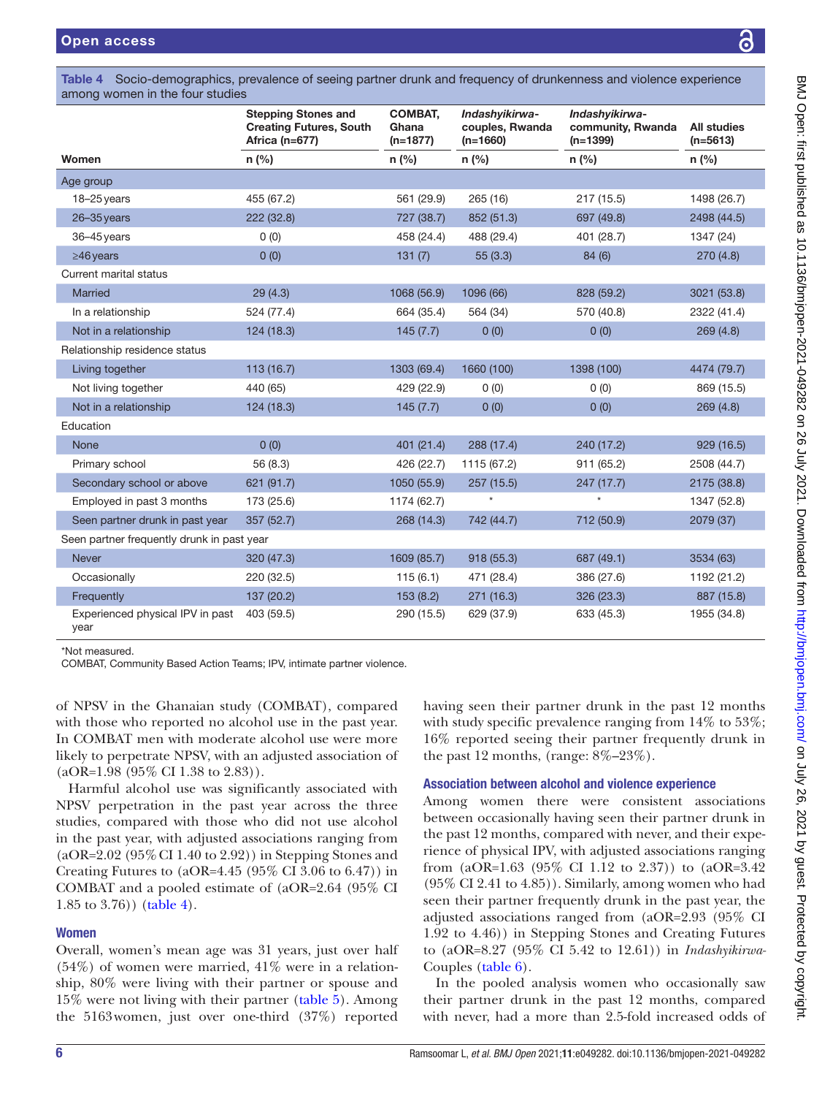among women in the four studies Women Stepping Stones and Creating Futures, South Africa (n=677) COMBAT, Ghana (n=1877) *Indashyikirwa*couples, Rwanda (n=1660) *Indashyikirwa*community, Rwanda (n=1399) All studies (n=5613) n (%) n (%) n (%) n (%) n (%) Age group 18–25years 455 (67.2) 561 (29.9) 265 (16) 217 (15.5) 1498 (26.7) 26–35years 222 (32.8) 727 (38.7) 852 (51.3) 697 (49.8) 2498 (44.5) 36–45years 0 (0) 458 (24.4) 488 (29.4) 401 (28.7) 1347 (24) ≥46years 0 (0) 131 (7) 55 (3.3) 84 (6) 270 (4.8) Current marital status Married 29 (4.3) 1068 (56.9) 1096 (66) 828 (59.2) 3021 (53.8) In a relationship 524 (77.4) 664 (35.4) 564 (34) 570 (40.8) 2322 (41.4) Not in a relationship 124 (18.3) 125 (7.7) 145 (7.7) 126 (0) 0 (0) 269 (4.8) Relationship residence status Living together 113 (16.7) 1303 (69.4) 1660 (100) 1398 (100) 4474 (79.7) Not living together  $440(65)$   $429(22.9)$   $0(0)$   $0(0)$   $869(15.5)$ Not in a relationship 124 (18.3) 125 (7.7) 0 (0) 0 (0) 0 (0) 269 (4.8) Education None 0 (0) 401 (21.4) 288 (17.4) 240 (17.2) 929 (16.5) Primary school 56 (8.3) 426 (22.7) 1115 (67.2) 911 (65.2) 2508 (44.7) Secondary school or above 621 (91.7) 1050 (55.9) 257 (15.5) 247 (17.7) 2175 (38.8) Employed in past 3 months 173 (25.6) 1174 (62.7)  $\star$   $\star$   $\star$  1347 (52.8) Seen partner drunk in past year 357 (52.7) 268 (14.3) 742 (44.7) 712 (50.9) 2079 (37) Seen partner frequently drunk in past year Never 320 (47.3) 1609 (85.7) 918 (55.3) 687 (49.1) 3534 (63) Occasionally 220 (32.5) 115 (6.1) 471 (28.4) 386 (27.6) 1192 (21.2) Frequently 137 (20.2) 153 (8.2) 271 (16.3) 326 (23.3) 887 (15.8) Experienced physical IPV in past year 403 (59.5) 290 (15.5) 629 (37.9) 633 (45.3) 1955 (34.8)

<span id="page-5-0"></span>Table 4 Socio-demographics, prevalence of seeing partner drunk and frequency of drunkenness and violence experience

\*Not measured.

COMBAT, Community Based Action Teams; IPV, intimate partner violence.

of NPSV in the Ghanaian study (COMBAT), compared with those who reported no alcohol use in the past year. In COMBAT men with moderate alcohol use were more likely to perpetrate NPSV, with an adjusted association of (aOR=1.98 (95% CI 1.38 to 2.83)).

Harmful alcohol use was significantly associated with NPSV perpetration in the past year across the three studies, compared with those who did not use alcohol in the past year, with adjusted associations ranging from (aOR=2.02 (95%CI 1.40 to 2.92)) in Stepping Stones and Creating Futures to  $(aOR=4.45 \ (95\)$  CI 3.06 to 6.47) in COMBAT and a pooled estimate of (aOR=2.64 (95% CI 1.85 to 3.76)) ([table](#page-5-0) 4).

### Women

Overall, women's mean age was 31 years, just over half  $(54%)$  of women were married,  $41%$  were in a relationship, 80% were living with their partner or spouse and 15% were not living with their partner ([table](#page-6-0) 5). Among the 5163women, just over one-third (37%) reported

having seen their partner drunk in the past 12 months with study specific prevalence ranging from  $14\%$  to  $53\%$ ; 16% reported seeing their partner frequently drunk in the past 12 months, (range:  $8\% - 23\%$ ).

### Association between alcohol and violence experience

Among women there were consistent associations between occasionally having seen their partner drunk in the past 12 months, compared with never, and their experience of physical IPV, with adjusted associations ranging from (aOR=1.63 (95% CI 1.12 to 2.37)) to (aOR=3.42 (95% CI 2.41 to 4.85)). Similarly, among women who had seen their partner frequently drunk in the past year, the adjusted associations ranged from (aOR=2.93 (95% CI 1.92 to 4.46)) in Stepping Stones and Creating Futures to (aOR=8.27 (95% CI 5.42 to 12.61)) in *Indashyikirwa-*Couples [\(table](#page-7-0) 6).

In the pooled analysis women who occasionally saw their partner drunk in the past 12 months, compared with never, had a more than 2.5-fold increased odds of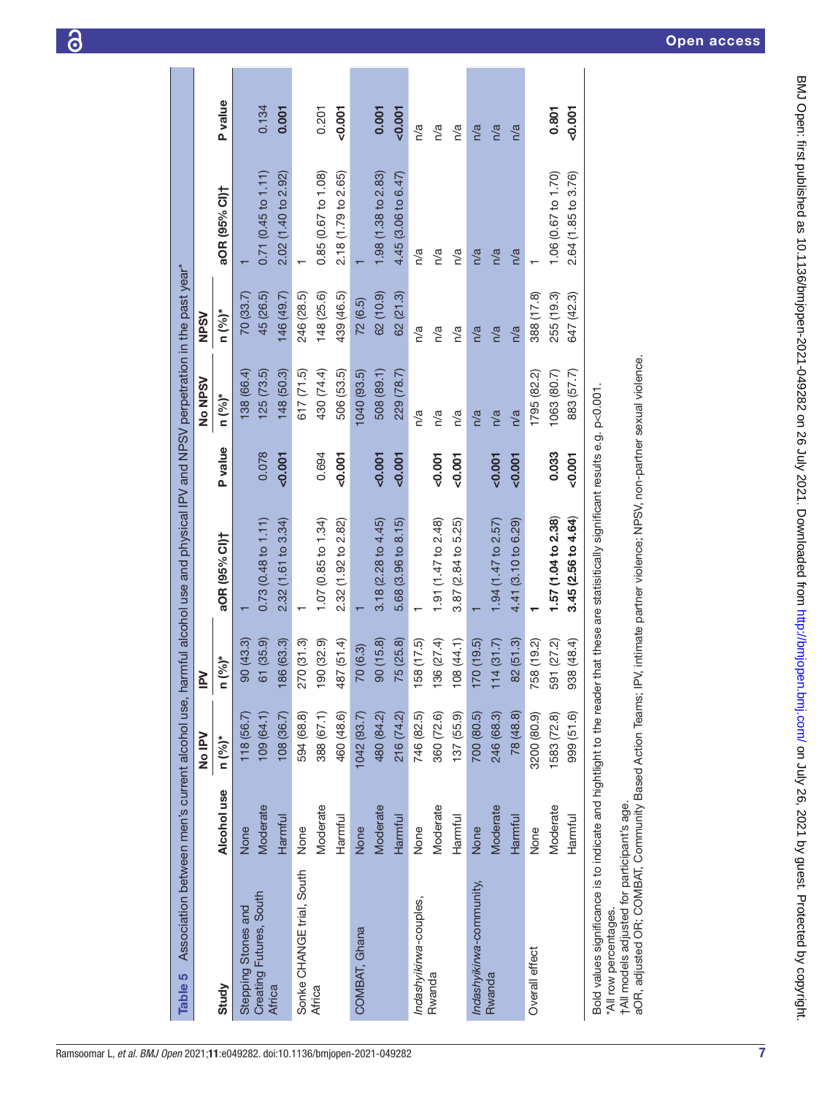<span id="page-6-0"></span>

| Table 5                                                                                                                                      |             |             |               | Association between men's current alcohol use, harmful alcohol use and physical IPV and NPSV perpetration in the past year" |          |             |             |                     |          |
|----------------------------------------------------------------------------------------------------------------------------------------------|-------------|-------------|---------------|-----------------------------------------------------------------------------------------------------------------------------|----------|-------------|-------------|---------------------|----------|
|                                                                                                                                              |             | No IPV      | $\geq$        |                                                                                                                             |          | No NPSV     | <b>NPSV</b> |                     |          |
| Study                                                                                                                                        | Alcohol use | $n (%)^*$   | $(9/0)*$<br>Ξ | aOR (95% CI)†                                                                                                               | P value  | $n (%)*$    | $n (9/6)^*$ | aOR (95% Cl)+       | P value  |
| Stepping Stones and                                                                                                                          | None        | 118(56.7)   | 90(43.3)      |                                                                                                                             |          | (38(66.4)   | 70 (33.7)   |                     |          |
| Creating Futures, South                                                                                                                      | Moderate    | 109 (64.1)  | 61 (35.9)     | $0.73(0.48 \text{ to } 1.11)$                                                                                               | 0.078    | 125(73.5)   | 45 (26.5)   | 0.71(0.45 to 1.11)  | 0.134    |
| Africa                                                                                                                                       | Harmful     | 108(36.7)   | 86 (63.3)     | 2.32(1.61 to 3.34)                                                                                                          | 0.001    | 148 (50.3)  | 146 (49.7)  | 2.02 (1.40 to 2.92) | 0.001    |
| Sonke CHANGE trial, South                                                                                                                    | None        | 594 (68.8)  | 270 (31.3)    |                                                                                                                             |          | 617 (71.5)  | 246 (28.5)  |                     |          |
| Africa                                                                                                                                       | Moderate    | 388 (67.1)  | 90 (32.9)     | 1.07(0.85 to 1.34)                                                                                                          | 0.694    | 430 (74.4)  | 148 (25.6)  | 0.85 (0.67 to 1.08) | 0.201    |
|                                                                                                                                              | Harmful     | 460 (48.6)  | 487 (51.4)    | 2.32 (1.92 to 2.82)                                                                                                         | $-0.001$ | 506 (53.5)  | 439 (46.5)  | 2.18 (1.79 to 2.65) | $-0.001$ |
| COMBAT, Ghana                                                                                                                                | None        | 1042 (93.7) | 70 (6.3)      |                                                                                                                             |          | 1040 (93.5) | 72(6.5)     |                     |          |
|                                                                                                                                              | Moderate    | 480 (84.2)  | 90(15.8)      | $3.18(2.28 \text{ to } 4.45)$                                                                                               | 0.001    | 508 (89.1)  | 62 (10.9)   | 1.98 (1.38 to 2.83) | 0.001    |
|                                                                                                                                              | Harmful     | 216 (74.2)  | 75 (25.8)     | $5.68$ $(3.96 \text{ to } 8.15)$                                                                                            | 0.001    | 229 (78.7)  | 62 (21.3)   | 4.45 (3.06 to 6.47) | $-0.001$ |
| Indashyikirwa-couples,                                                                                                                       | None        | 746 (82.5)  | 58 (17.5)     |                                                                                                                             |          | n/a         | n/a         | n/a                 | n/a      |
| Rwanda                                                                                                                                       | Moderate    | 360 (72.6)  | 36 (27.4)     | 1.91 (1.47 to 2.48)                                                                                                         | 0.001    | n/a         | n/a         | n/a                 | n/a      |
|                                                                                                                                              | Harmful     | 137 (55.9)  | 08 (44.1)     | $3.87(2.84 \text{ to } 5.25)$                                                                                               | 0.001    | n/a         | n/a         | n/a                 | n/a      |
| Indashyikirwa-community,                                                                                                                     | None        | 700 (80.5)  | 70 (19.5)     |                                                                                                                             |          | n/a         | n/a         | n/a                 | n/a      |
| Rwanda                                                                                                                                       | Moderate    | 246 (68.3)  | 14(31.7)      | 1.94 (1.47 to $2.57$ )                                                                                                      | 0.001    | n/a         | n/a         | n/a                 | n/a      |
|                                                                                                                                              | Harmful     | 78 (48.8)   | 82(51.3)      | 4.41 (3.10 to 6.29)                                                                                                         | 50.001   | n/a         | n/a         | n/a                 | n/a      |
| Overall effect                                                                                                                               | None        | 3200 (80.9) | 758 (19.2)    |                                                                                                                             |          | 1795 (82.2) | 388 (17.8)  |                     |          |
|                                                                                                                                              | Moderate    | 1583 (72.8) | 591 (27.2)    | 1.57 (1.04 to 2.38)                                                                                                         | 0.033    | 1063 (80.7) | 255 (19.3)  | 1.06 (0.67 to 1.70) | 0.801    |
|                                                                                                                                              | Harmful     | 999 (51.6)  | 938 (48.4)    | 3.45 (2.56 to 4.64)                                                                                                         | $-0.001$ | 883 (57.7)  | 647 (42.3)  | 2.64 (1.85 to 3.76) | $-0.001$ |
| Bold values significance is to indicate and hightlight to the reader<br>tAll models adjusted for participant's age.<br>*All row percentages. |             |             |               | that these are statisitically significant results e.g. p<0.001                                                              |          |             |             |                     |          |
| aOR, adjusted OR; COMBAT, Community Based Action Teams; IPV, intimate partner violence; NPSV, non-partner sexual violence.                   |             |             |               |                                                                                                                             |          |             |             |                     |          |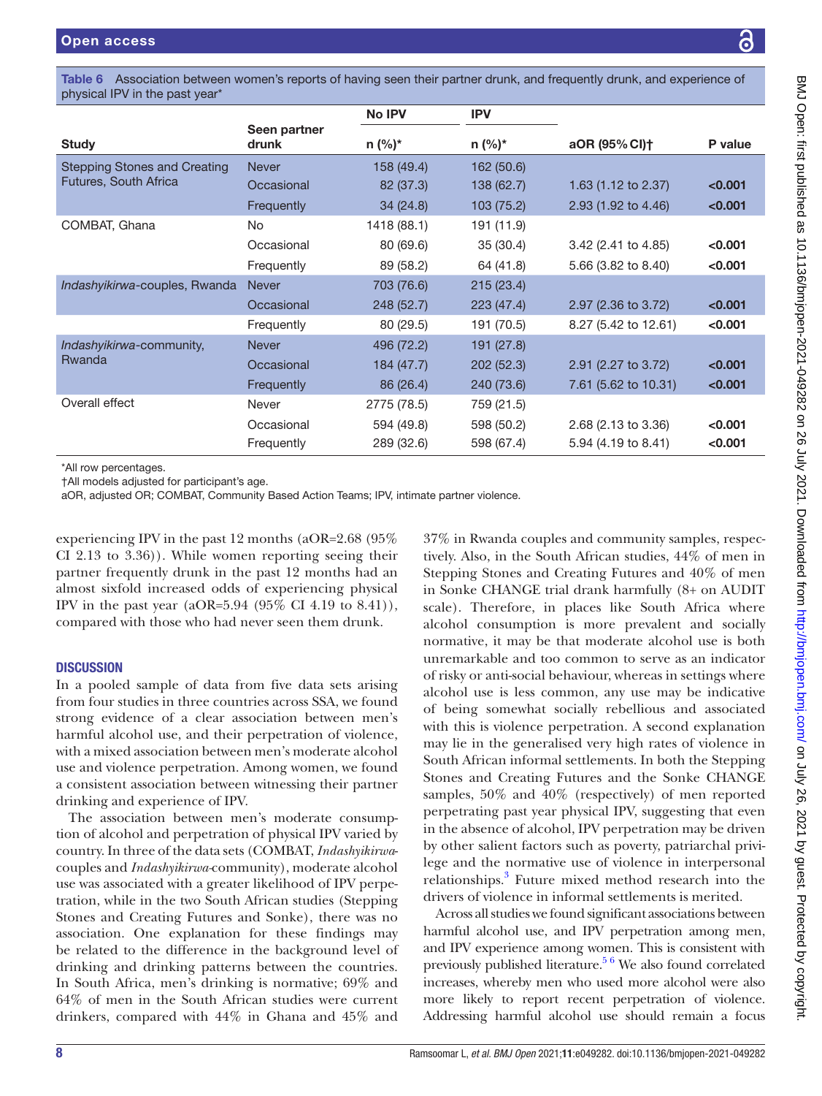**Study** 

Rwanda

physical IPV in the past year\* Seen partner drunk No IPV IPV n (%)\* n (%)\* aOR (95%CI)† P value Stepping Stones and Creating Futures, South Africa Never 158 (49.4) 162 (50.6) Occasional 82 (37.3) 138 (62.7) 1.63 (1.12 to 2.37) <0.001 Frequently 34 (24.8) 103 (75.2) 2.93 (1.92 to 4.46) <0.001 COMBAT, Ghana  $\begin{array}{ccc} \text{NO} & 1418 (88.1) & 191 (11.9) \end{array}$ Occasional 80 (69.6) 35 (30.4) 3.42 (2.41 to 4.85) <0.001 Frequently 89 (58.2) 64 (41.8) 5.66 (3.82 to 8.40) <0.001 *Indashyikirwa-couples, Rwanda Never* 703 (76.6) 215 (23.4) Occasional 248 (52.7) 223 (47.4) 2.97 (2.36 to 3.72)  $\leq$  0.001 Frequently 80 (29.5) 191 (70.5) 8.27 (5.42 to 12.61) <0.001 *Indashyikirwa*-community, Never 496 (72.2) 191 (27.8) Occasional 184 (47.7) 202 (52.3) 2.91 (2.27 to 3.72) <0.001 Frequently 86 (26.4) 240 (73.6) 7.61 (5.62 to 10.31) <0.001 Overall effect Never Never 2775 (78.5) 759 (21.5) Occasional  $594 (49.8)$   $598 (50.2)$   $2.68 (2.13 \text{ to } 3.36)$  <0.001 Frequently 289 (32.6) 598 (67.4) 5.94 (4.19 to 8.41) <0.001 \*All row percentages. †All models adjusted for participant's age.

<span id="page-7-0"></span>Table 6 Association between women's reports of having seen their partner drunk, and frequently drunk, and experience of

aOR, adjusted OR; COMBAT, Community Based Action Teams; IPV, intimate partner violence.

experiencing IPV in the past 12 months (aOR=2.68 (95% CI 2.13 to 3.36)). While women reporting seeing their partner frequently drunk in the past 12 months had an almost sixfold increased odds of experiencing physical IPV in the past year (aOR=5.94 (95% CI 4.19 to 8.41)), compared with those who had never seen them drunk.

# **DISCUSSION**

In a pooled sample of data from five data sets arising from four studies in three countries across SSA, we found strong evidence of a clear association between men's harmful alcohol use, and their perpetration of violence, with a mixed association between men's moderate alcohol use and violence perpetration. Among women, we found a consistent association between witnessing their partner drinking and experience of IPV.

The association between men's moderate consumption of alcohol and perpetration of physical IPV varied by country. In three of the data sets (COMBAT, *Indashyikirwa*couples and *Indashyikirwa-*community), moderate alcohol use was associated with a greater likelihood of IPV perpetration, while in the two South African studies (Stepping Stones and Creating Futures and Sonke), there was no association. One explanation for these findings may be related to the difference in the background level of drinking and drinking patterns between the countries. In South Africa, men's drinking is normative; 69% and 64% of men in the South African studies were current drinkers, compared with 44% in Ghana and 45% and

37% in Rwanda couples and community samples, respectively. Also, in the South African studies, 44% of men in Stepping Stones and Creating Futures and 40% of men in Sonke CHANGE trial drank harmfully (8+ on AUDIT scale). Therefore, in places like South Africa where alcohol consumption is more prevalent and socially normative, it may be that moderate alcohol use is both unremarkable and too common to serve as an indicator of risky or anti-social behaviour, whereas in settings where alcohol use is less common, any use may be indicative of being somewhat socially rebellious and associated with this is violence perpetration. A second explanation may lie in the generalised very high rates of violence in South African informal settlements. In both the Stepping Stones and Creating Futures and the Sonke CHANGE samples, 50% and 40% (respectively) of men reported perpetrating past year physical IPV, suggesting that even in the absence of alcohol, IPV perpetration may be driven by other salient factors such as poverty, patriarchal privilege and the normative use of violence in interpersonal relationships.<sup>3</sup> Future mixed method research into the drivers of violence in informal settlements is merited.

Across all studies we found significant associations between harmful alcohol use, and IPV perpetration among men, and IPV experience among women. This is consistent with previously published literature.<sup>[5 6](#page-10-0)</sup> We also found correlated increases, whereby men who used more alcohol were also more likely to report recent perpetration of violence. Addressing harmful alcohol use should remain a focus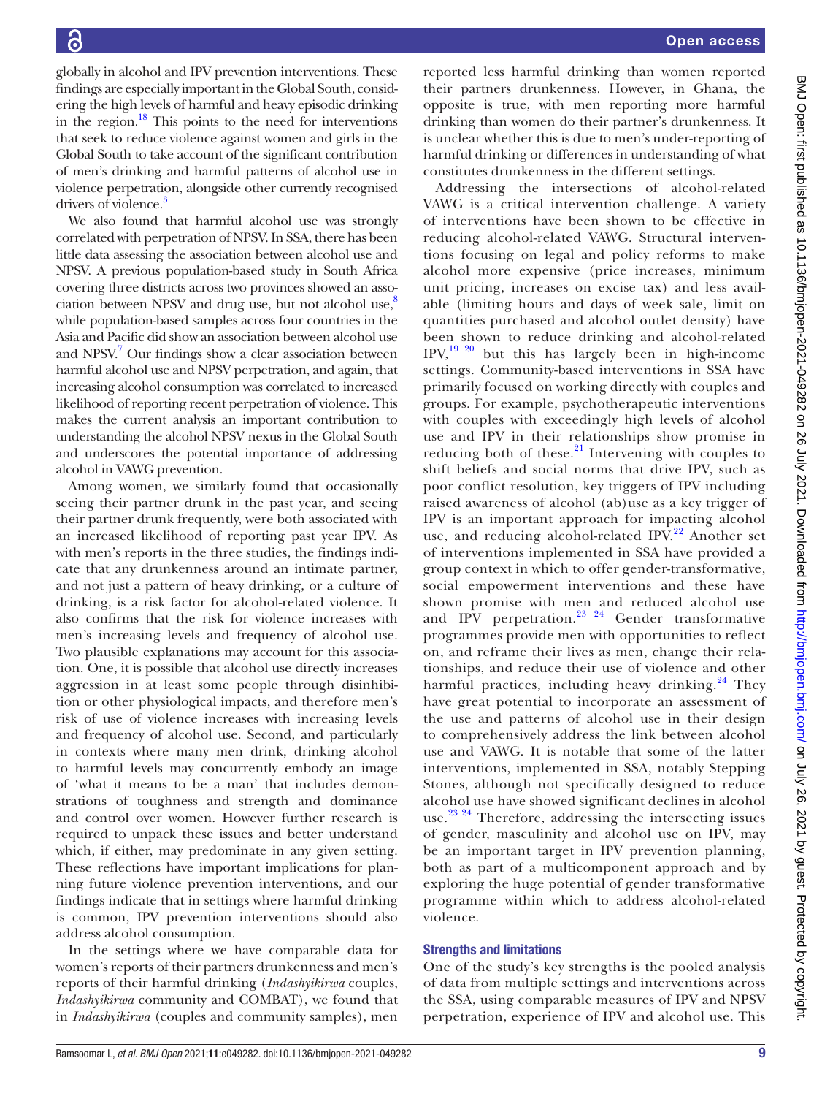globally in alcohol and IPV prevention interventions. These findings are especially important in the Global South, considering the high levels of harmful and heavy episodic drinking in the region[.18](#page-10-12) This points to the need for interventions that seek to reduce violence against women and girls in the Global South to take account of the significant contribution of men's drinking and harmful patterns of alcohol use in violence perpetration, alongside other currently recognised drivers of violence.<sup>3</sup>

We also found that harmful alcohol use was strongly correlated with perpetration of NPSV. In SSA, there has been little data assessing the association between alcohol use and NPSV. A previous population-based study in South Africa covering three districts across two provinces showed an association between NPSV and drug use, but not alcohol use, $8\%$ while population-based samples across four countries in the Asia and Pacific did show an association between alcohol use and NPSV.<sup>7</sup> Our findings show a clear association between harmful alcohol use and NPSV perpetration, and again, that increasing alcohol consumption was correlated to increased likelihood of reporting recent perpetration of violence. This makes the current analysis an important contribution to understanding the alcohol NPSV nexus in the Global South and underscores the potential importance of addressing alcohol in VAWG prevention.

Among women, we similarly found that occasionally seeing their partner drunk in the past year, and seeing their partner drunk frequently, were both associated with an increased likelihood of reporting past year IPV. As with men's reports in the three studies, the findings indicate that any drunkenness around an intimate partner, and not just a pattern of heavy drinking, or a culture of drinking, is a risk factor for alcohol-related violence. It also confirms that the risk for violence increases with men's increasing levels and frequency of alcohol use. Two plausible explanations may account for this association. One, it is possible that alcohol use directly increases aggression in at least some people through disinhibition or other physiological impacts, and therefore men's risk of use of violence increases with increasing levels and frequency of alcohol use. Second, and particularly in contexts where many men drink, drinking alcohol to harmful levels may concurrently embody an image of 'what it means to be a man' that includes demonstrations of toughness and strength and dominance and control over women. However further research is required to unpack these issues and better understand which, if either, may predominate in any given setting. These reflections have important implications for planning future violence prevention interventions, and our findings indicate that in settings where harmful drinking is common, IPV prevention interventions should also address alcohol consumption.

In the settings where we have comparable data for women's reports of their partners drunkenness and men's reports of their harmful drinking (*Indashyikirwa* couples, *Indashyikirwa* community and COMBAT), we found that in *Indashyikirwa* (couples and community samples), men

reported less harmful drinking than women reported their partners drunkenness. However, in Ghana, the opposite is true, with men reporting more harmful drinking than women do their partner's drunkenness. It is unclear whether this is due to men's under-reporting of harmful drinking or differences in understanding of what constitutes drunkenness in the different settings.

Addressing the intersections of alcohol-related VAWG is a critical intervention challenge. A variety of interventions have been shown to be effective in reducing alcohol-related VAWG. Structural interventions focusing on legal and policy reforms to make alcohol more expensive (price increases, minimum unit pricing, increases on excise tax) and less available (limiting hours and days of week sale, limit on quantities purchased and alcohol outlet density) have been shown to reduce drinking and alcohol-related IPV,[19 20](#page-10-13) but this has largely been in high-income settings. Community-based interventions in SSA have primarily focused on working directly with couples and groups. For example, psychotherapeutic interventions with couples with exceedingly high levels of alcohol use and IPV in their relationships show promise in reducing both of these. $21$  Intervening with couples to shift beliefs and social norms that drive IPV, such as poor conflict resolution, key triggers of IPV including raised awareness of alcohol (ab)use as a key trigger of IPV is an important approach for impacting alcohol use, and reducing alcohol-related IPV. $^{22}$  $^{22}$  $^{22}$  Another set of interventions implemented in SSA have provided a group context in which to offer gender-transformative, social empowerment interventions and these have shown promise with men and reduced alcohol use and IPV perpetration. $23 \times 24$  Gender transformative programmes provide men with opportunities to reflect on, and reframe their lives as men, change their relationships, and reduce their use of violence and other harmful practices, including heavy drinking.<sup>24</sup> They have great potential to incorporate an assessment of the use and patterns of alcohol use in their design to comprehensively address the link between alcohol use and VAWG. It is notable that some of the latter interventions, implemented in SSA, notably Stepping Stones, although not specifically designed to reduce alcohol use have showed significant declines in alcohol use.<sup>23 24</sup> Therefore, addressing the intersecting issues of gender, masculinity and alcohol use on IPV, may be an important target in IPV prevention planning, both as part of a multicomponent approach and by exploring the huge potential of gender transformative programme within which to address alcohol-related violence.

### Strengths and limitations

One of the study's key strengths is the pooled analysis of data from multiple settings and interventions across the SSA, using comparable measures of IPV and NPSV perpetration, experience of IPV and alcohol use. This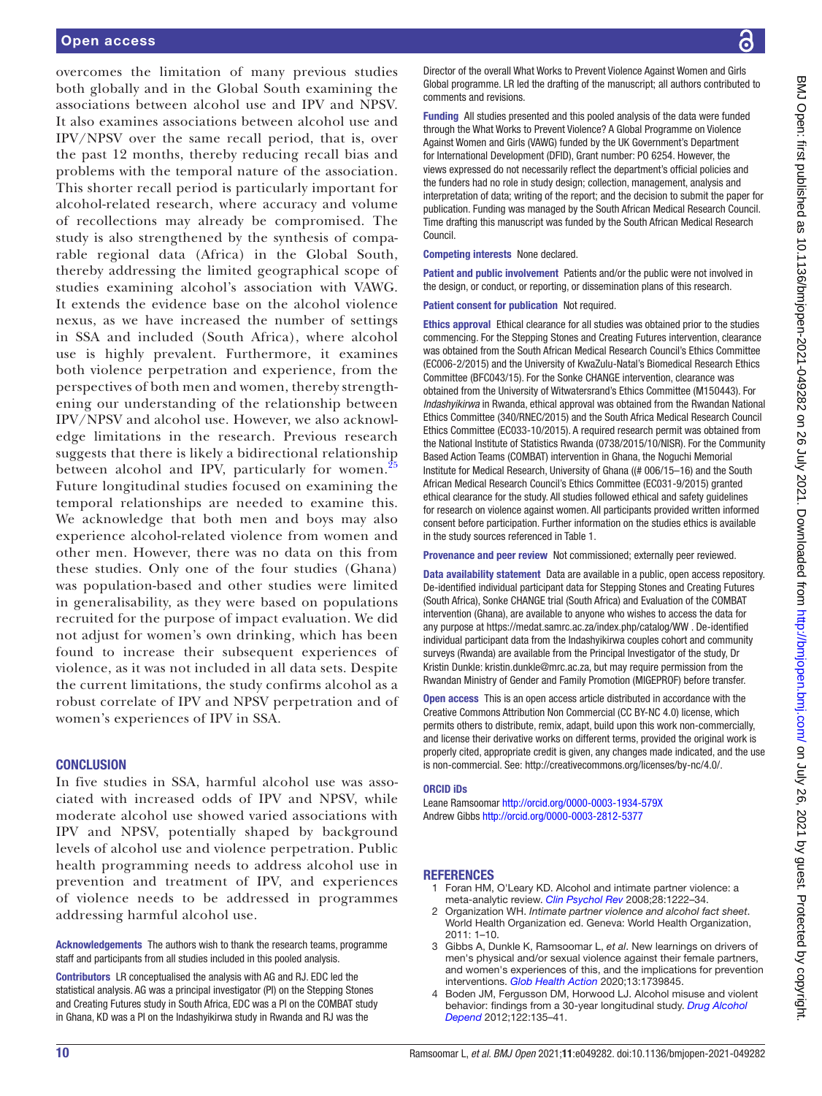overcomes the limitation of many previous studies both globally and in the Global South examining the associations between alcohol use and IPV and NPSV. It also examines associations between alcohol use and IPV/NPSV over the same recall period, that is, over the past 12 months, thereby reducing recall bias and problems with the temporal nature of the association. This shorter recall period is particularly important for alcohol-related research, where accuracy and volume of recollections may already be compromised. The study is also strengthened by the synthesis of comparable regional data (Africa) in the Global South, thereby addressing the limited geographical scope of studies examining alcohol's association with VAWG. It extends the evidence base on the alcohol violence nexus, as we have increased the number of settings in SSA and included (South Africa), where alcohol use is highly prevalent. Furthermore, it examines both violence perpetration and experience, from the perspectives of both men and women, thereby strengthening our understanding of the relationship between IPV/NPSV and alcohol use. However, we also acknowledge limitations in the research. Previous research suggests that there is likely a bidirectional relationship between alcohol and IPV, particularly for women.<sup>[25](#page-10-18)</sup> Future longitudinal studies focused on examining the temporal relationships are needed to examine this. We acknowledge that both men and boys may also experience alcohol-related violence from women and other men. However, there was no data on this from these studies. Only one of the four studies (Ghana) was population-based and other studies were limited in generalisability, as they were based on populations recruited for the purpose of impact evaluation. We did not adjust for women's own drinking, which has been found to increase their subsequent experiences of violence, as it was not included in all data sets. Despite the current limitations, the study confirms alcohol as a robust correlate of IPV and NPSV perpetration and of women's experiences of IPV in SSA.

#### **CONCLUSION**

In five studies in SSA, harmful alcohol use was associated with increased odds of IPV and NPSV, while moderate alcohol use showed varied associations with IPV and NPSV, potentially shaped by background levels of alcohol use and violence perpetration. Public health programming needs to address alcohol use in prevention and treatment of IPV, and experiences of violence needs to be addressed in programmes addressing harmful alcohol use.

Acknowledgements The authors wish to thank the research teams, programme staff and participants from all studies included in this pooled analysis.

Contributors LR conceptualised the analysis with AG and RJ. EDC led the statistical analysis. AG was a principal investigator (PI) on the Stepping Stones and Creating Futures study in South Africa, EDC was a PI on the COMBAT study in Ghana, KD was a PI on the Indashyikirwa study in Rwanda and RJ was the

Director of the overall What Works to Prevent Violence Against Women and Girls Global programme. LR led the drafting of the manuscript; all authors contributed to comments and revisions.

Funding All studies presented and this pooled analysis of the data were funded through the What Works to Prevent Violence? A Global Programme on Violence Against Women and Girls (VAWG) funded by the UK Government's Department for International Development (DFID), Grant number: PO 6254. However, the views expressed do not necessarily reflect the department's official policies and the funders had no role in study design; collection, management, analysis and interpretation of data; writing of the report; and the decision to submit the paper for publication. Funding was managed by the South African Medical Research Council. Time drafting this manuscript was funded by the South African Medical Research Council.

Competing interests None declared.

Patient and public involvement Patients and/or the public were not involved in the design, or conduct, or reporting, or dissemination plans of this research.

Patient consent for publication Not required.

Ethics approval Ethical clearance for all studies was obtained prior to the studies commencing. For the Stepping Stones and Creating Futures intervention, clearance was obtained from the South African Medical Research Council's Ethics Committee (EC006-2/2015) and the University of KwaZulu-Natal's Biomedical Research Ethics Committee (BFC043/15). For the Sonke CHANGE intervention, clearance was obtained from the University of Witwatersrand's Ethics Committee (M150443). For *Indashyikirwa* in Rwanda, ethical approval was obtained from the Rwandan National Ethics Committee (340/RNEC/2015) and the South Africa Medical Research Council Ethics Committee (EC033-10/2015). A required research permit was obtained from the National Institute of Statistics Rwanda (0738/2015/10/NISR). For the Community Based Action Teams (COMBAT) intervention in Ghana, the Noguchi Memorial Institute for Medical Research, University of Ghana ((# 006/15–16) and the South African Medical Research Council's Ethics Committee (EC031-9/2015) granted ethical clearance for the study. All studies followed ethical and safety guidelines for research on violence against women. All participants provided written informed consent before participation. Further information on the studies ethics is available in the study sources referenced in Table 1.

Provenance and peer review Not commissioned; externally peer reviewed.

Data availability statement Data are available in a public, open access repository. De-identified individual participant data for Stepping Stones and Creating Futures (South Africa), Sonke CHANGE trial (South Africa) and Evaluation of the COMBAT intervention (Ghana), are available to anyone who wishes to access the data for any purpose at <https://medat.samrc.ac.za/index.php/catalog/WW> . De-identified individual participant data from the Indashyikirwa couples cohort and community surveys (Rwanda) are available from the Principal Investigator of the study, Dr Kristin Dunkle: kristin.dunkle@mrc.ac.za, but may require permission from the Rwandan Ministry of Gender and Family Promotion (MIGEPROF) before transfer.

Open access This is an open access article distributed in accordance with the Creative Commons Attribution Non Commercial (CC BY-NC 4.0) license, which permits others to distribute, remix, adapt, build upon this work non-commercially, and license their derivative works on different terms, provided the original work is properly cited, appropriate credit is given, any changes made indicated, and the use is non-commercial. See: [http://creativecommons.org/licenses/by-nc/4.0/.](http://creativecommons.org/licenses/by-nc/4.0/)

#### ORCID iDs

Leane Ramsoomar<http://orcid.org/0000-0003-1934-579X> Andrew Gibbs <http://orcid.org/0000-0003-2812-5377>

#### <span id="page-9-0"></span>**REFERENCES**

- 1 Foran HM, O'Leary KD. Alcohol and intimate partner violence: a meta-analytic review. *[Clin Psychol Rev](http://dx.doi.org/10.1016/j.cpr.2008.05.001)* 2008;28:1222–34.
- <span id="page-9-2"></span>2 Organization WH. *Intimate partner violence and alcohol fact sheet*. World Health Organization ed. Geneva: World Health Organization, 2011: 1–10.
- <span id="page-9-3"></span>3 Gibbs A, Dunkle K, Ramsoomar L, *et al*. New learnings on drivers of men's physical and/or sexual violence against their female partners, and women's experiences of this, and the implications for prevention interventions. *[Glob Health Action](http://dx.doi.org/10.1080/16549716.2020.1739845)* 2020;13:1739845.
- <span id="page-9-1"></span>4 Boden JM, Fergusson DM, Horwood LJ. Alcohol misuse and violent behavior: findings from a 30-year longitudinal study. *[Drug Alcohol](http://dx.doi.org/10.1016/j.drugalcdep.2011.09.023)  [Depend](http://dx.doi.org/10.1016/j.drugalcdep.2011.09.023)* 2012;122:135–41.